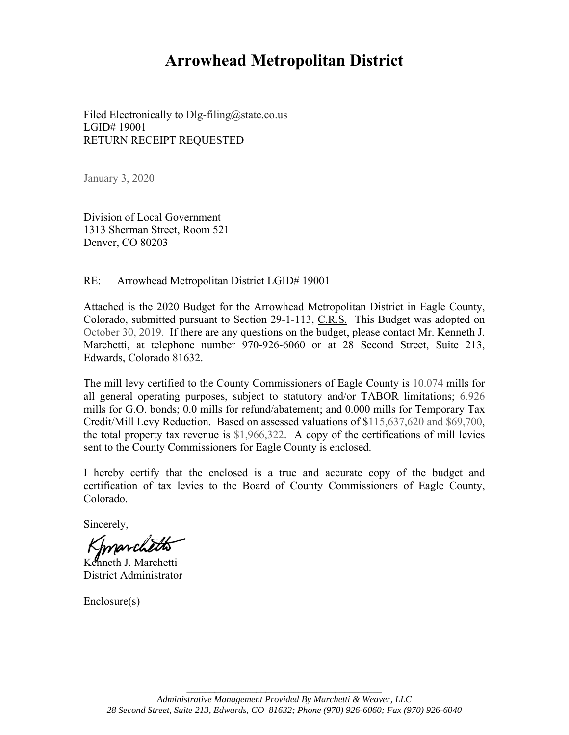# **Arrowhead Metropolitan District**

Filed Electronically to Dlg-filing@state.co.us LGID# 19001 RETURN RECEIPT REQUESTED

January 3, 2020

Division of Local Government 1313 Sherman Street, Room 521 Denver, CO 80203

RE: Arrowhead Metropolitan District LGID# 19001

Attached is the 2020 Budget for the Arrowhead Metropolitan District in Eagle County, Colorado, submitted pursuant to Section 29-1-113, C.R.S. This Budget was adopted on October 30, 2019. If there are any questions on the budget, please contact Mr. Kenneth J. Marchetti, at telephone number 970-926-6060 or at 28 Second Street, Suite 213, Edwards, Colorado 81632.

The mill levy certified to the County Commissioners of Eagle County is 10.074 mills for all general operating purposes, subject to statutory and/or TABOR limitations; 6.926 mills for G.O. bonds; 0.0 mills for refund/abatement; and 0.000 mills for Temporary Tax Credit/Mill Levy Reduction. Based on assessed valuations of \$115,637,620 and \$69,700, the total property tax revenue is \$1,966,322. A copy of the certifications of mill levies sent to the County Commissioners for Eagle County is enclosed.

I hereby certify that the enclosed is a true and accurate copy of the budget and certification of tax levies to the Board of County Commissioners of Eagle County, Colorado.

Sincerely,

marc

Kenneth J. Marchetti District Administrator

Enclosure(s)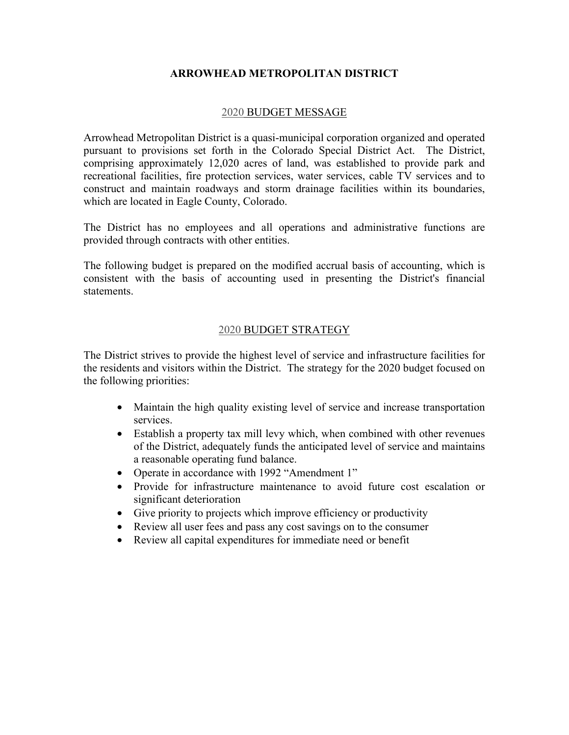# **ARROWHEAD METROPOLITAN DISTRICT**

## 2020 BUDGET MESSAGE

Arrowhead Metropolitan District is a quasi-municipal corporation organized and operated pursuant to provisions set forth in the Colorado Special District Act. The District, comprising approximately 12,020 acres of land, was established to provide park and recreational facilities, fire protection services, water services, cable TV services and to construct and maintain roadways and storm drainage facilities within its boundaries, which are located in Eagle County, Colorado.

The District has no employees and all operations and administrative functions are provided through contracts with other entities.

The following budget is prepared on the modified accrual basis of accounting, which is consistent with the basis of accounting used in presenting the District's financial statements.

# 2020 BUDGET STRATEGY

The District strives to provide the highest level of service and infrastructure facilities for the residents and visitors within the District. The strategy for the 2020 budget focused on the following priorities:

- Maintain the high quality existing level of service and increase transportation services.
- Establish a property tax mill levy which, when combined with other revenues of the District, adequately funds the anticipated level of service and maintains a reasonable operating fund balance.
- Operate in accordance with 1992 "Amendment 1"
- Provide for infrastructure maintenance to avoid future cost escalation or significant deterioration
- Give priority to projects which improve efficiency or productivity
- Review all user fees and pass any cost savings on to the consumer
- Review all capital expenditures for immediate need or benefit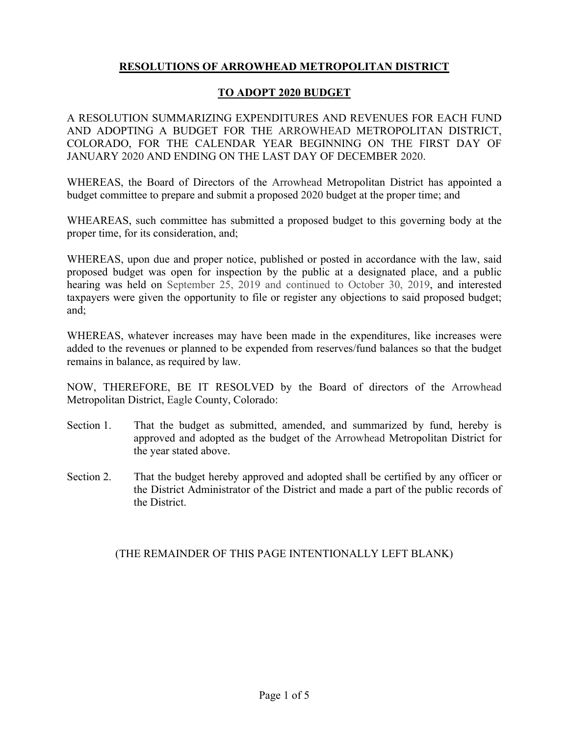# **RESOLUTIONS OF ARROWHEAD METROPOLITAN DISTRICT**

# **TO ADOPT 2020 BUDGET**

A RESOLUTION SUMMARIZING EXPENDITURES AND REVENUES FOR EACH FUND AND ADOPTING A BUDGET FOR THE ARROWHEAD METROPOLITAN DISTRICT, COLORADO, FOR THE CALENDAR YEAR BEGINNING ON THE FIRST DAY OF JANUARY 2020 AND ENDING ON THE LAST DAY OF DECEMBER 2020.

WHEREAS, the Board of Directors of the Arrowhead Metropolitan District has appointed a budget committee to prepare and submit a proposed 2020 budget at the proper time; and

WHEAREAS, such committee has submitted a proposed budget to this governing body at the proper time, for its consideration, and;

WHEREAS, upon due and proper notice, published or posted in accordance with the law, said proposed budget was open for inspection by the public at a designated place, and a public hearing was held on September 25, 2019 and continued to October 30, 2019, and interested taxpayers were given the opportunity to file or register any objections to said proposed budget; and;

WHEREAS, whatever increases may have been made in the expenditures, like increases were added to the revenues or planned to be expended from reserves/fund balances so that the budget remains in balance, as required by law.

NOW, THEREFORE, BE IT RESOLVED by the Board of directors of the Arrowhead Metropolitan District, Eagle County, Colorado:

- Section 1. That the budget as submitted, amended, and summarized by fund, hereby is approved and adopted as the budget of the Arrowhead Metropolitan District for the year stated above.
- Section 2. That the budget hereby approved and adopted shall be certified by any officer or the District Administrator of the District and made a part of the public records of the District.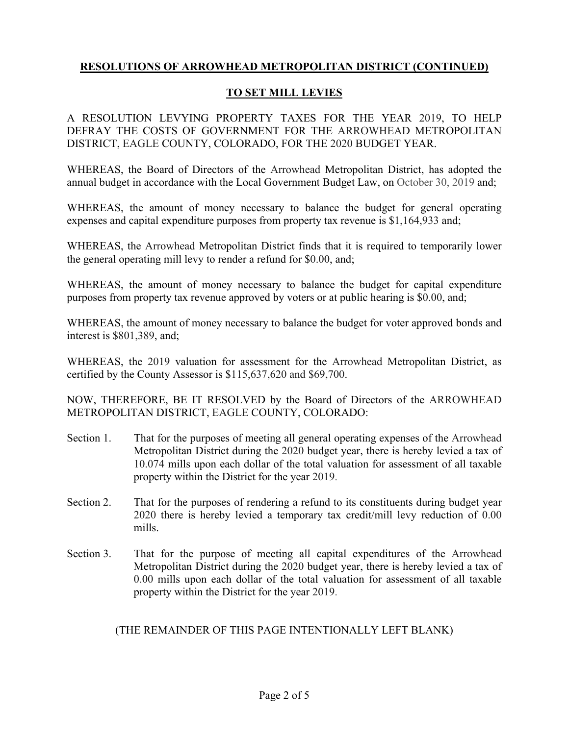# **TO SET MILL LEVIES**

A RESOLUTION LEVYING PROPERTY TAXES FOR THE YEAR 2019, TO HELP DEFRAY THE COSTS OF GOVERNMENT FOR THE ARROWHEAD METROPOLITAN DISTRICT, EAGLE COUNTY, COLORADO, FOR THE 2020 BUDGET YEAR.

WHEREAS, the Board of Directors of the Arrowhead Metropolitan District, has adopted the annual budget in accordance with the Local Government Budget Law, on October 30, 2019 and;

WHEREAS, the amount of money necessary to balance the budget for general operating expenses and capital expenditure purposes from property tax revenue is \$1,164,933 and;

WHEREAS, the Arrowhead Metropolitan District finds that it is required to temporarily lower the general operating mill levy to render a refund for \$0.00, and;

WHEREAS, the amount of money necessary to balance the budget for capital expenditure purposes from property tax revenue approved by voters or at public hearing is \$0.00, and;

WHEREAS, the amount of money necessary to balance the budget for voter approved bonds and interest is \$801,389, and;

WHEREAS, the 2019 valuation for assessment for the Arrowhead Metropolitan District, as certified by the County Assessor is \$115,637,620 and \$69,700.

NOW, THEREFORE, BE IT RESOLVED by the Board of Directors of the ARROWHEAD METROPOLITAN DISTRICT, EAGLE COUNTY, COLORADO:

- Section 1. That for the purposes of meeting all general operating expenses of the Arrowhead Metropolitan District during the 2020 budget year, there is hereby levied a tax of 10.074 mills upon each dollar of the total valuation for assessment of all taxable property within the District for the year 2019.
- Section 2. That for the purposes of rendering a refund to its constituents during budget year 2020 there is hereby levied a temporary tax credit/mill levy reduction of 0.00 mills.
- Section 3. That for the purpose of meeting all capital expenditures of the Arrowhead Metropolitan District during the 2020 budget year, there is hereby levied a tax of 0.00 mills upon each dollar of the total valuation for assessment of all taxable property within the District for the year 2019.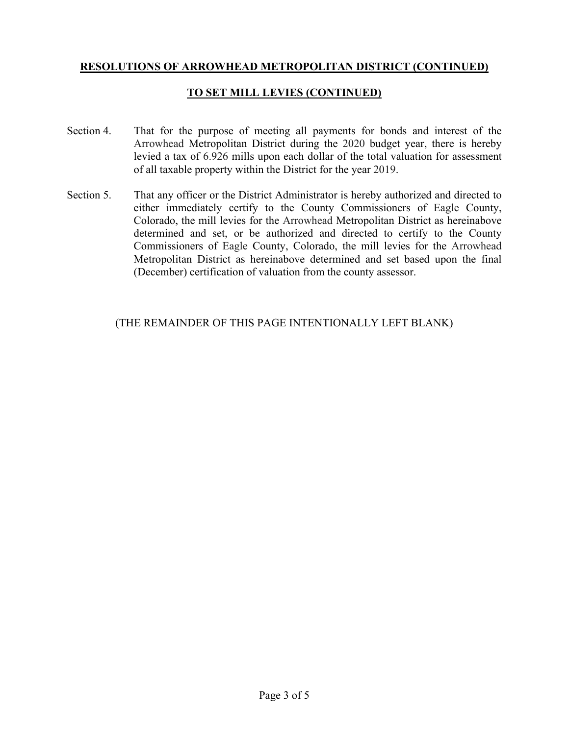# **TO SET MILL LEVIES (CONTINUED)**

- Section 4. That for the purpose of meeting all payments for bonds and interest of the Arrowhead Metropolitan District during the 2020 budget year, there is hereby levied a tax of 6.926 mills upon each dollar of the total valuation for assessment of all taxable property within the District for the year 2019.
- Section 5. That any officer or the District Administrator is hereby authorized and directed to either immediately certify to the County Commissioners of Eagle County, Colorado, the mill levies for the Arrowhead Metropolitan District as hereinabove determined and set, or be authorized and directed to certify to the County Commissioners of Eagle County, Colorado, the mill levies for the Arrowhead Metropolitan District as hereinabove determined and set based upon the final (December) certification of valuation from the county assessor.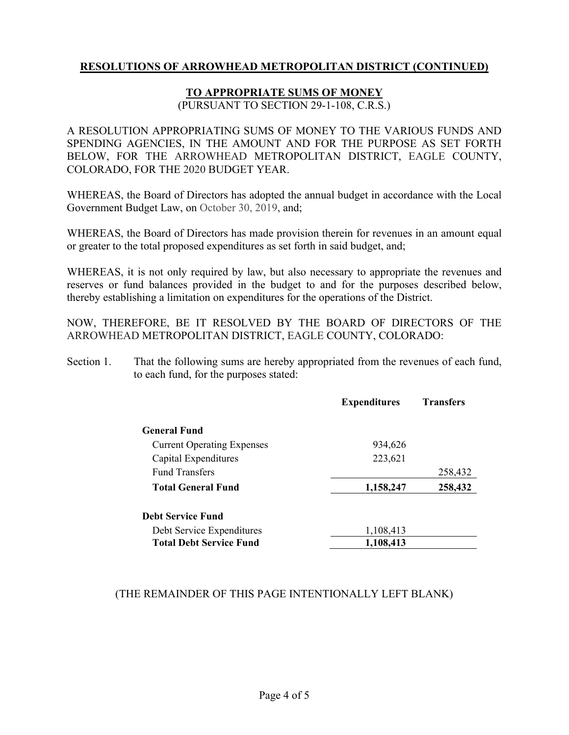# **TO APPROPRIATE SUMS OF MONEY**

(PURSUANT TO SECTION 29-1-108, C.R.S.)

A RESOLUTION APPROPRIATING SUMS OF MONEY TO THE VARIOUS FUNDS AND SPENDING AGENCIES, IN THE AMOUNT AND FOR THE PURPOSE AS SET FORTH BELOW, FOR THE ARROWHEAD METROPOLITAN DISTRICT, EAGLE COUNTY, COLORADO, FOR THE 2020 BUDGET YEAR.

WHEREAS, the Board of Directors has adopted the annual budget in accordance with the Local Government Budget Law, on October 30, 2019, and;

WHEREAS, the Board of Directors has made provision therein for revenues in an amount equal or greater to the total proposed expenditures as set forth in said budget, and;

WHEREAS, it is not only required by law, but also necessary to appropriate the revenues and reserves or fund balances provided in the budget to and for the purposes described below, thereby establishing a limitation on expenditures for the operations of the District.

NOW, THEREFORE, BE IT RESOLVED BY THE BOARD OF DIRECTORS OF THE ARROWHEAD METROPOLITAN DISTRICT, EAGLE COUNTY, COLORADO:

Section 1. That the following sums are hereby appropriated from the revenues of each fund, to each fund, for the purposes stated:

|                                   | <b>Expenditures</b> | <b>Transfers</b> |
|-----------------------------------|---------------------|------------------|
| <b>General Fund</b>               |                     |                  |
| <b>Current Operating Expenses</b> | 934,626             |                  |
| Capital Expenditures              | 223,621             |                  |
| <b>Fund Transfers</b>             |                     | 258,432          |
| Total General Fund                | 1,158,247           | 258,432          |
| <b>Debt Service Fund</b>          |                     |                  |
| Debt Service Expenditures         | 1,108,413           |                  |
| <b>Total Debt Service Fund</b>    | 1,108,413           |                  |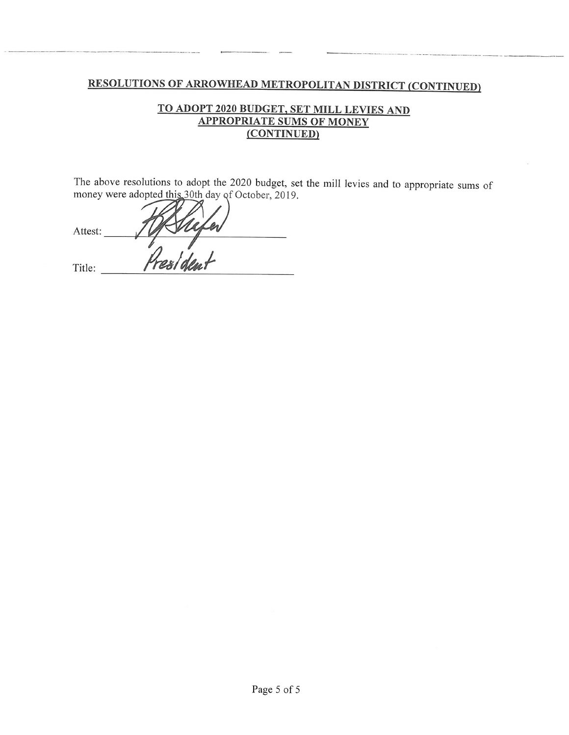# TO ADOPT 2020 BUDGET, SET MILL LEVIES AND **APPROPRIATE SUMS OF MONEY** (CONTINUED)

The above resolutions to adopt the 2020 budget, set the mill levies and to appropriate sums of money were adopted this 30th day of October, 2019.

Attest: Presiden Title: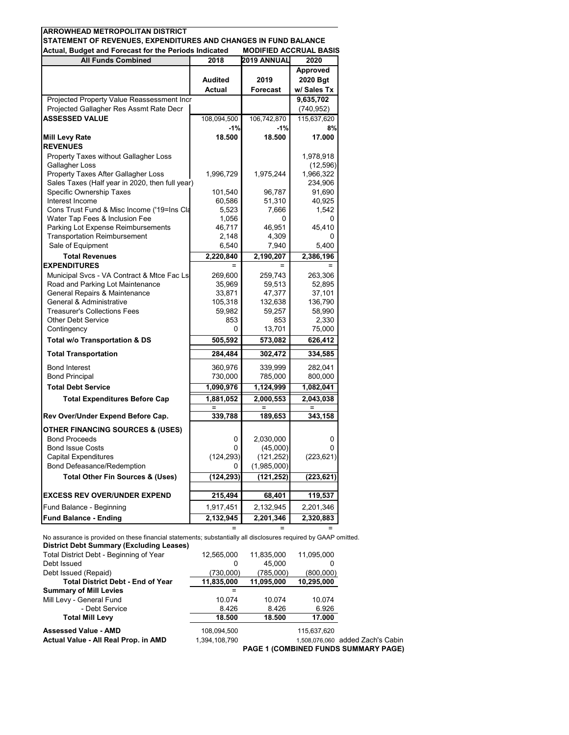| Actual, Budget and Forecast for the Periods Indicated<br><b>All Funds Combined</b> | 2018              | <b>MODIFIED ACCRUAL BASIS</b><br>2019 ANNUAL | 2020              |
|------------------------------------------------------------------------------------|-------------------|----------------------------------------------|-------------------|
|                                                                                    |                   |                                              | Approved          |
|                                                                                    | <b>Audited</b>    | 2019                                         | 2020 Bgt          |
|                                                                                    | Actual            | <b>Forecast</b>                              | w/ Sales Tx       |
| Projected Property Value Reassessment Incr                                         |                   |                                              | 9,635,702         |
| Projected Gallagher Res Assmt Rate Decr                                            |                   |                                              | (740, 952)        |
| <b>ASSESSED VALUE</b>                                                              | 108,094,500       | 106,742,870                                  | 115,637,620       |
|                                                                                    | $-1%$             | $-1%$                                        | 8%                |
| <b>Mill Levy Rate</b>                                                              | 18.500            | 18.500                                       | 17.000            |
| <b>REVENUES</b>                                                                    |                   |                                              |                   |
| Property Taxes without Gallagher Loss                                              |                   |                                              | 1,978,918         |
| Gallagher Loss                                                                     |                   |                                              | (12, 596)         |
| Property Taxes After Gallagher Loss                                                | 1,996,729         | 1,975,244                                    | 1,966,322         |
| Sales Taxes (Half year in 2020, then full year)                                    |                   |                                              | 234,906           |
| Specific Ownership Taxes                                                           | 101,540           | 96,787                                       | 91,690            |
| Interest Income                                                                    | 60,586            | 51,310                                       | 40,925            |
| Cons Trust Fund & Misc Income ('19=Ins Cla                                         | 5,523             | 7,666                                        | 1,542             |
| Water Tap Fees & Inclusion Fee                                                     | 1,056             | 0                                            |                   |
| Parking Lot Expense Reimbursements                                                 | 46,717            | 46,951                                       | 45,410            |
| <b>Transportation Reimbursement</b><br>Sale of Equipment                           | 2,148             | 4,309                                        |                   |
|                                                                                    | 6,540             | 7,940                                        | 5,400             |
| <b>Total Revenues</b>                                                              | 2.220.840         | 2,190,207                                    | 2.386.196         |
| <b>EXPENDITURES</b>                                                                |                   |                                              |                   |
| Municipal Svcs - VA Contract & Mtce Fac Ls<br>Road and Parking Lot Maintenance     | 269,600<br>35,969 | 259,743<br>59,513                            | 263,306<br>52,895 |
| General Repairs & Maintenance                                                      | 33,871            | 47,377                                       | 37,101            |
| General & Administrative                                                           | 105,318           | 132,638                                      | 136,790           |
| <b>Treasurer's Collections Fees</b>                                                | 59,982            | 59,257                                       | 58,990            |
| <b>Other Debt Service</b>                                                          | 853               | 853                                          | 2,330             |
| Contingency                                                                        | 0                 | 13,701                                       | 75,000            |
| Total w/o Transportation & DS                                                      | 505,592           | 573,082                                      | 626,412           |
| <b>Total Transportation</b>                                                        | 284,484           | 302,472                                      | 334,585           |
| <b>Bond Interest</b>                                                               | 360,976           | 339,999                                      | 282,041           |
| <b>Bond Principal</b>                                                              | 730,000           | 785,000                                      | 800,000           |
| <b>Total Debt Service</b>                                                          | 1,090,976         | 1,124,999                                    | 1,082,041         |
| <b>Total Expenditures Before Cap</b>                                               | 1,881,052         | 2,000,553                                    | 2,043,038         |
|                                                                                    |                   |                                              |                   |
| Rev Over/Under Expend Before Cap.                                                  | 339,788           | 189,653                                      | 343,158           |
| <b>OTHER FINANCING SOURCES &amp; (USES)</b>                                        |                   |                                              |                   |
| <b>Bond Proceeds</b>                                                               | 0                 | 2,030,000                                    | 0                 |
| <b>Bond Issue Costs</b>                                                            | 0                 | (45,000)                                     | 0                 |
| <b>Capital Expenditures</b>                                                        | (124, 293)        | (121, 252)                                   | (223, 621)        |
| Bond Defeasance/Redemption                                                         | 0                 | (1,985,000)                                  |                   |
| <b>Total Other Fin Sources &amp; (Uses)</b>                                        | (124,293)         | (121, 252)                                   | (223, 621)        |
| <b>EXCESS REV OVER/UNDER EXPEND</b>                                                | 215,494           | 68,401                                       | 119,537           |
| Fund Balance - Beginning                                                           | 1,917,451         | 2,132,945                                    | 2,201,346         |
| <b>Fund Balance - Ending</b>                                                       | 2,132,945         | 2,201,346                                    | 2,320,883         |
|                                                                                    |                   |                                              |                   |

No assurance is provided on these financial statements; substantially all disclosures required by GAAP omitted. **District Debt Summary (Excluding Leases)**

| Total District Debt - Beginning of Year  | 12,565,000    | 11,835,000 | 11,095,000  |                                  |
|------------------------------------------|---------------|------------|-------------|----------------------------------|
| Debt Issued                              | 0             | 45.000     | 0           |                                  |
| Debt Issued (Repaid)                     | (730,000)     | (785.000)  | (800,000)   |                                  |
| <b>Total District Debt - End of Year</b> | 11,835,000    | 11,095,000 | 10,295,000  |                                  |
| <b>Summary of Mill Levies</b>            |               |            |             |                                  |
| Mill Levy - General Fund                 | 10.074        | 10.074     | 10.074      |                                  |
| - Debt Service                           | 8.426         | 8.426      | 6.926       |                                  |
| <b>Total Mill Levy</b>                   | 18.500        | 18.500     | 17.000      |                                  |
| <b>Assessed Value - AMD</b>              | 108,094,500   |            | 115.637.620 |                                  |
| Actual Value - All Real Prop. in AMD     | 1.394.108.790 |            |             | 1.508.076.060 added Zach's Cabin |
|                                          |               |            |             |                                  |

**PAGE 1 (COMBINED FUNDS SUMMARY PAGE)**

= = =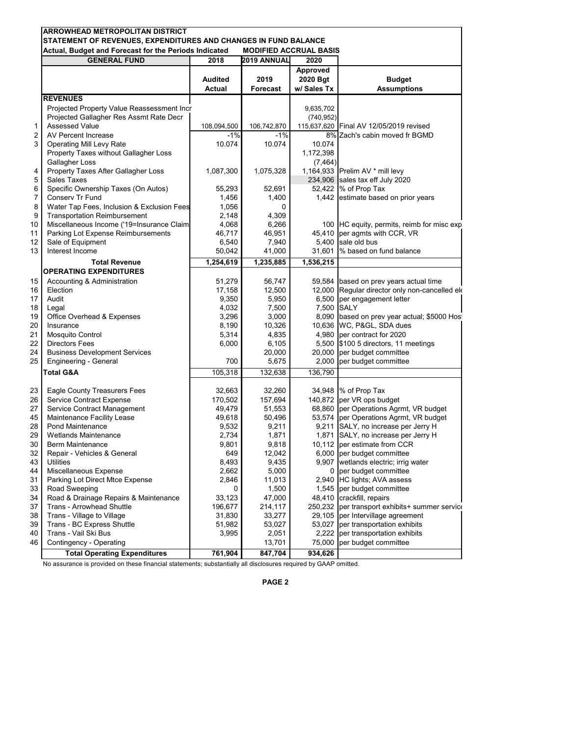|                | <b>ARROWHEAD METROPOLITAN DISTRICT</b>                                                                                                                    |                                 |                         |                                     |                                                                                  |  |  |  |  |
|----------------|-----------------------------------------------------------------------------------------------------------------------------------------------------------|---------------------------------|-------------------------|-------------------------------------|----------------------------------------------------------------------------------|--|--|--|--|
|                | STATEMENT OF REVENUES, EXPENDITURES AND CHANGES IN FUND BALANCE<br>Actual, Budget and Forecast for the Periods Indicated<br><b>MODIFIED ACCRUAL BASIS</b> |                                 |                         |                                     |                                                                                  |  |  |  |  |
|                | <b>GENERAL FUND</b>                                                                                                                                       | 2018                            | 2019 ANNUAL             | 2020                                |                                                                                  |  |  |  |  |
|                |                                                                                                                                                           | <b>Audited</b><br><b>Actual</b> | 2019<br><b>Forecast</b> | Approved<br>2020 Bgt<br>w/ Sales Tx | <b>Budget</b><br><b>Assumptions</b>                                              |  |  |  |  |
|                | <b>REVENUES</b>                                                                                                                                           |                                 |                         |                                     |                                                                                  |  |  |  |  |
|                | Projected Property Value Reassessment Incr                                                                                                                |                                 |                         | 9,635,702                           |                                                                                  |  |  |  |  |
|                | Projected Gallagher Res Assmt Rate Decr                                                                                                                   |                                 |                         | (740, 952)                          |                                                                                  |  |  |  |  |
| 1              | <b>Assessed Value</b>                                                                                                                                     | 108,094,500                     | 106,742,870             |                                     | 115,637,620 Final AV 12/05/2019 revised                                          |  |  |  |  |
| $\overline{2}$ | AV Percent Increase                                                                                                                                       | $-1%$                           | $-1%$                   |                                     | 8% Zach's cabin moved fr BGMD                                                    |  |  |  |  |
| 3              | <b>Operating Mill Levy Rate</b>                                                                                                                           | 10.074                          | 10.074                  | 10.074                              |                                                                                  |  |  |  |  |
|                | Property Taxes without Gallagher Loss                                                                                                                     |                                 |                         | 1,172,398                           |                                                                                  |  |  |  |  |
|                | Gallagher Loss                                                                                                                                            |                                 |                         | (7, 464)                            |                                                                                  |  |  |  |  |
| 4              | Property Taxes After Gallagher Loss                                                                                                                       | 1,087,300                       | 1,075,328               |                                     | 1,164,933 Prelim AV * mill levy                                                  |  |  |  |  |
| 5<br>6         | Sales Taxes                                                                                                                                               |                                 |                         |                                     | 234,906 sales tax eff July 2020<br>52,422 % of Prop Tax                          |  |  |  |  |
| 7              | Specific Ownership Taxes (On Autos)<br>Conserv Tr Fund                                                                                                    | 55,293<br>1,456                 | 52,691<br>1,400         |                                     | 1,442 estimate based on prior years                                              |  |  |  |  |
| 8              | Water Tap Fees, Inclusion & Exclusion Fees                                                                                                                | 1,056                           | 0                       |                                     |                                                                                  |  |  |  |  |
| 9              | <b>Transportation Reimbursement</b>                                                                                                                       | 2,148                           | 4,309                   |                                     |                                                                                  |  |  |  |  |
| 10             | Miscellaneous Income ('19=Insurance Claim                                                                                                                 | 4,068                           | 6,266                   |                                     | 100 HC equity, permits, reimb for misc exp                                       |  |  |  |  |
| 11             | Parking Lot Expense Reimbursements                                                                                                                        | 46,717                          | 46,951                  |                                     | 45,410 per agmts with CCR, VR                                                    |  |  |  |  |
| 12             | Sale of Equipment                                                                                                                                         | 6,540                           | 7,940                   |                                     | 5,400 sale old bus                                                               |  |  |  |  |
| 13             | Interest Income                                                                                                                                           | 50,042                          | 41,000                  |                                     | 31,601 % based on fund balance                                                   |  |  |  |  |
|                | <b>Total Revenue</b>                                                                                                                                      | 1,254,619                       | 1,235,885               | 1,536,215                           |                                                                                  |  |  |  |  |
|                | <b>OPERATING EXPENDITURES</b>                                                                                                                             |                                 |                         |                                     |                                                                                  |  |  |  |  |
| 15             | Accounting & Administration                                                                                                                               | 51,279                          | 56,747                  |                                     | 59,584 based on prev years actual time                                           |  |  |  |  |
| 16             | Election                                                                                                                                                  | 17,158                          | 12,500                  |                                     | 12,000 Regular director only non-cancelled ele                                   |  |  |  |  |
| 17             | Audit                                                                                                                                                     | 9,350                           | 5,950                   |                                     | 6,500 per engagement letter                                                      |  |  |  |  |
| 18             | Legal                                                                                                                                                     | 4,032                           | 7,500                   | 7,500 SALY                          |                                                                                  |  |  |  |  |
| 19             | Office Overhead & Expenses                                                                                                                                | 3,296                           | 3,000                   |                                     | 8,090 based on prev year actual; \$5000 Hos                                      |  |  |  |  |
| 20             | Insurance                                                                                                                                                 | 8,190                           | 10,326                  |                                     | 10,636 WC, P&GL, SDA dues                                                        |  |  |  |  |
| 21             | <b>Mosquito Control</b>                                                                                                                                   | 5,314                           | 4,835                   |                                     | 4,980 per contract for 2020                                                      |  |  |  |  |
| 22             | <b>Directors Fees</b>                                                                                                                                     | 6,000                           | 6,105                   |                                     | 5,500 \$100 5 directors, 11 meetings                                             |  |  |  |  |
| 24             | <b>Business Development Services</b>                                                                                                                      |                                 | 20,000                  |                                     | 20,000 per budget committee                                                      |  |  |  |  |
| 25             | Engineering - General                                                                                                                                     | 700                             | 5,675                   | 2,000                               | per budget committee                                                             |  |  |  |  |
|                | Total G&A                                                                                                                                                 | 105,318                         | 132,638                 | 136,790                             |                                                                                  |  |  |  |  |
|                |                                                                                                                                                           |                                 |                         |                                     |                                                                                  |  |  |  |  |
| 23             | Eagle County Treasurers Fees                                                                                                                              | 32,663                          | 32,260                  |                                     | 34,948 % of Prop Tax                                                             |  |  |  |  |
| 26             | <b>Service Contract Expense</b>                                                                                                                           | 170,502                         | 157,694                 |                                     | 140,872 per VR ops budget                                                        |  |  |  |  |
| 27             | Service Contract Management                                                                                                                               | 49,479                          | 51,553                  |                                     | 68,860 per Operations Agrmt, VR budget<br>53,574 per Operations Agrmt, VR budget |  |  |  |  |
| 45<br>28       | Maintenance Facility Lease<br>Pond Maintenance                                                                                                            | 49,618                          | 50,496<br>9,211         |                                     |                                                                                  |  |  |  |  |
| 29             | <b>Wetlands Maintenance</b>                                                                                                                               | 9,532<br>2,734                  | 1,871                   |                                     | 9,211 SALY, no increase per Jerry H<br>1,871 SALY, no increase per Jerry H       |  |  |  |  |
| 30             | Berm Maintenance                                                                                                                                          | 9,801                           | 9,818                   |                                     | 10,112 per estimate from CCR                                                     |  |  |  |  |
| 32             | Repair - Vehicles & General                                                                                                                               | 649                             | 12,042                  |                                     | 6,000 per budget committee                                                       |  |  |  |  |
| 43             | Utilities                                                                                                                                                 | 8,493                           | 9,435                   |                                     | 9,907 wetlands electric; irrig water                                             |  |  |  |  |
| 44             | Miscellaneous Expense                                                                                                                                     | 2,662                           | 5,000                   |                                     | 0 per budget committee                                                           |  |  |  |  |
| 31             | Parking Lot Direct Mtce Expense                                                                                                                           | 2,846                           | 11,013                  |                                     | 2,940 HC lights; AVA assess                                                      |  |  |  |  |
| 33             | Road Sweeping                                                                                                                                             | 0                               | 1,500                   |                                     | 1,545 per budget committee                                                       |  |  |  |  |
| 34             | Road & Drainage Repairs & Maintenance                                                                                                                     | 33,123                          | 47,000                  |                                     | 48,410 crackfill, repairs                                                        |  |  |  |  |
| 37             | <b>Trans - Arrowhead Shuttle</b>                                                                                                                          | 196,677                         | 214,117                 | 250,232                             | per transport exhibits+ summer service                                           |  |  |  |  |
| 38             | Trans - Village to Village                                                                                                                                | 31,830                          | 33,277                  |                                     | 29,105 per Intervillage agreement                                                |  |  |  |  |
| 39             | Trans - BC Express Shuttle                                                                                                                                | 51,982                          | 53,027                  | 53,027                              | per transportation exhibits                                                      |  |  |  |  |
| 40             | Trans - Vail Ski Bus                                                                                                                                      | 3,995                           | 2,051                   |                                     | 2,222 per transportation exhibits                                                |  |  |  |  |
| 46             | Contingency - Operating                                                                                                                                   |                                 | 13,701                  |                                     | 75,000 per budget committee                                                      |  |  |  |  |
|                | <b>Total Operating Expenditures</b>                                                                                                                       | 761,904                         | 847,704                 | 934,626                             |                                                                                  |  |  |  |  |

No assurance is provided on these financial statements; substantially all disclosures required by GAAP omitted.

**PAGE 2**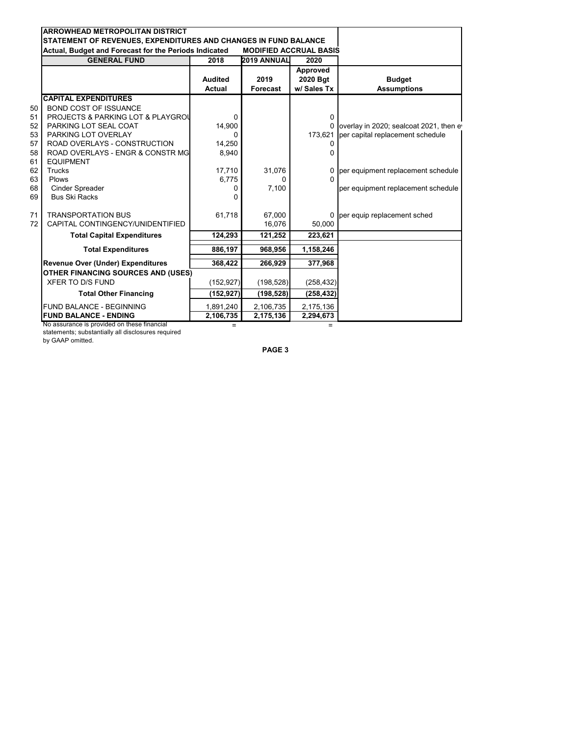| Actual, Budget and Forecast for the Periods Indicated<br><b>GENERAL FUND</b> | 2018                            | 2019 ANNUAL             | 2020                                |                                           |
|------------------------------------------------------------------------------|---------------------------------|-------------------------|-------------------------------------|-------------------------------------------|
|                                                                              | <b>Audited</b><br><b>Actual</b> | 2019<br><b>Forecast</b> | Approved<br>2020 Bgt<br>w/ Sales Tx | <b>Budget</b><br><b>Assumptions</b>       |
| <b>CAPITAL EXPENDITURES</b>                                                  |                                 |                         |                                     |                                           |
| 50<br><b>BOND COST OF ISSUANCE</b>                                           |                                 |                         |                                     |                                           |
| 51<br><b>PROJECTS &amp; PARKING LOT &amp; PLAYGROU</b>                       | 0                               |                         | 0                                   |                                           |
| 52<br>PARKING LOT SEAL COAT                                                  | 14,900                          |                         |                                     | 0 overlay in 2020; sealcoat 2021, then ev |
| 53<br>PARKING LOT OVERLAY                                                    | O                               |                         | 173,621                             | per capital replacement schedule          |
| 57<br>ROAD OVERLAYS - CONSTRUCTION                                           | 14,250                          |                         | 0                                   |                                           |
| 58<br>ROAD OVERLAYS - ENGR & CONSTR MG<br>61<br><b>EQUIPMENT</b>             | 8,940                           |                         | 0                                   |                                           |
| 62<br><b>Trucks</b>                                                          | 17,710                          | 31,076                  |                                     | 0 per equipment replacement schedule      |
| 63<br><b>Plows</b>                                                           | 6,775                           | <sup>0</sup>            | 0                                   |                                           |
| 68<br><b>Cinder Spreader</b>                                                 | 0                               | 7,100                   |                                     | per equipment replacement schedule        |
| 69<br><b>Bus Ski Racks</b>                                                   | U                               |                         |                                     |                                           |
| 71<br><b>TRANSPORTATION BUS</b>                                              | 61,718                          | 67.000                  |                                     | 0 per equip replacement sched             |
| CAPITAL CONTINGENCY/UNIDENTIFIED<br>72                                       |                                 | 16,076                  | 50,000                              |                                           |
| <b>Total Capital Expenditures</b>                                            | 124,293                         | 121,252                 | 223,621                             |                                           |
| <b>Total Expenditures</b>                                                    | 886,197                         | 968,956                 | 1,158,246                           |                                           |
| <b>Revenue Over (Under) Expenditures</b>                                     | 368,422                         | 266,929                 | 377,968                             |                                           |
| <b>OTHER FINANCING SOURCES AND (USES)</b>                                    |                                 |                         |                                     |                                           |
| <b>XFER TO D/S FUND</b>                                                      | (152, 927)                      | (198, 528)              | (258, 432)                          |                                           |
| <b>Total Other Financing</b>                                                 | (152, 927)                      | (198, 528)              | (258, 432)                          |                                           |
| <b>FUND BALANCE - BEGINNING</b>                                              | 1,891,240                       | 2,106,735               | 2,175,136                           |                                           |
| <b>FUND BALANCE - ENDING</b>                                                 | 2,106,735                       | 2,175,136               | 2,294,673                           |                                           |

statements; substantially all disclosures required

by GAAP omitted.

**PAGE 3**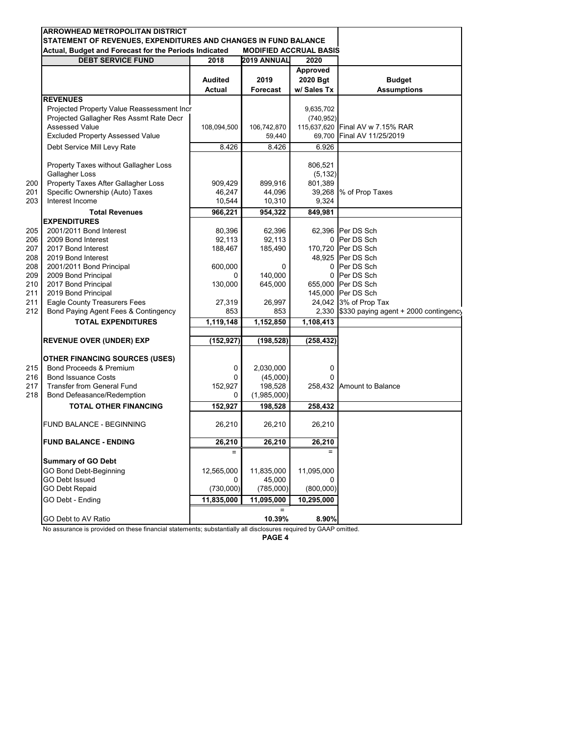|            | ARROWHEAD METROPOLITAN DISTRICT<br>STATEMENT OF REVENUES, EXPENDITURES AND CHANGES IN FUND BALANCE |                   |                               |                   |                                             |
|------------|----------------------------------------------------------------------------------------------------|-------------------|-------------------------------|-------------------|---------------------------------------------|
|            | Actual, Budget and Forecast for the Periods Indicated                                              |                   | <b>MODIFIED ACCRUAL BASIS</b> |                   |                                             |
|            | <b>DEBT SERVICE FUND</b>                                                                           | 2018              | 2019 ANNUAL                   | 2020              |                                             |
|            |                                                                                                    |                   |                               | Approved          |                                             |
|            |                                                                                                    | Audited           | 2019                          | 2020 Bgt          | <b>Budget</b>                               |
|            |                                                                                                    | <b>Actual</b>     | <b>Forecast</b>               | w/ Sales Tx       | <b>Assumptions</b>                          |
|            | <b>REVENUES</b>                                                                                    |                   |                               |                   |                                             |
|            | Projected Property Value Reassessment Incr                                                         |                   |                               | 9,635,702         |                                             |
|            | Projected Gallagher Res Assmt Rate Decr                                                            |                   |                               | (740, 952)        |                                             |
|            | <b>Assessed Value</b>                                                                              | 108,094,500       | 106,742,870                   | 115,637,620       | Final AV w 7.15% RAR                        |
|            | <b>Excluded Property Assessed Value</b>                                                            |                   | 59,440                        | 69,700            | Final AV 11/25/2019                         |
|            | Debt Service Mill Levy Rate                                                                        | 8.426             | 8.426                         | 6.926             |                                             |
|            |                                                                                                    |                   |                               |                   |                                             |
|            | Property Taxes without Gallagher Loss<br>Gallagher Loss                                            |                   |                               | 806,521           |                                             |
|            | Property Taxes After Gallagher Loss                                                                |                   | 899,916                       | (5, 132)          |                                             |
| 200<br>201 | Specific Ownership (Auto) Taxes                                                                    | 909,429<br>46,247 | 44,096                        | 801,389<br>39,268 | % of Prop Taxes                             |
| 203        | Interest Income                                                                                    | 10,544            | 10,310                        | 9,324             |                                             |
|            | <b>Total Revenues</b>                                                                              | 966,221           | 954,322                       | 849,981           |                                             |
|            | <b>EXPENDITURES</b>                                                                                |                   |                               |                   |                                             |
| 205        | 2001/2011 Bond Interest                                                                            | 80,396            | 62,396                        |                   | 62,396 Per DS Sch                           |
| 206        | 2009 Bond Interest                                                                                 | 92,113            | 92,113                        | 0                 | Per DS Sch                                  |
| 207        | 2017 Bond Interest                                                                                 | 188,467           | 185,490                       |                   | 170,720 Per DS Sch                          |
| 208        | 2019 Bond Interest                                                                                 |                   |                               |                   | 48.925 Per DS Sch                           |
| 208        | 2001/2011 Bond Principal                                                                           | 600,000           | 0                             | 0                 | Per DS Sch                                  |
| 209        | 2009 Bond Principal                                                                                | 0                 | 140,000                       |                   | 0 Per DS Sch                                |
| 210        | 2017 Bond Principal                                                                                | 130,000           | 645,000                       |                   | 655,000 Per DS Sch                          |
| 211        | 2019 Bond Principal                                                                                |                   |                               |                   | 145,000 Per DS Sch                          |
| 211        | <b>Eagle County Treasurers Fees</b>                                                                | 27,319            | 26,997                        |                   | 24,042 3% of Prop Tax                       |
| 212        | Bond Paying Agent Fees & Contingency                                                               | 853               | 853                           |                   | 2,330 \$330 paying agent + 2000 contingency |
|            | <b>TOTAL EXPENDITURES</b>                                                                          | 1,119,148         | 1,152,850                     | 1,108,413         |                                             |
|            | <b>REVENUE OVER (UNDER) EXP</b>                                                                    | (152,927)         | (198, 528)                    | (258, 432)        |                                             |
|            |                                                                                                    |                   |                               |                   |                                             |
|            | OTHER FINANCING SOURCES (USES)                                                                     |                   |                               |                   |                                             |
| 215        | <b>Bond Proceeds &amp; Premium</b>                                                                 | 0                 | 2,030,000                     | 0                 |                                             |
| 216        | <b>Bond Issuance Costs</b>                                                                         | 0                 | (45,000)                      | 0                 |                                             |
| 217        | <b>Transfer from General Fund</b>                                                                  | 152,927           | 198,528                       |                   | 258,432 Amount to Balance                   |
| 218        | Bond Defeasance/Redemption                                                                         | 0                 | (1,985,000)                   |                   |                                             |
|            | <b>TOTAL OTHER FINANCING</b>                                                                       | 152,927           | 198,528                       | 258,432           |                                             |
|            | FUND BALANCE - BEGINNING                                                                           | 26,210            | 26,210                        | 26,210            |                                             |
|            | <b>FUND BALANCE - ENDING</b>                                                                       | 26,210            | 26,210                        | 26,210            |                                             |
|            |                                                                                                    |                   |                               |                   |                                             |
|            | <b>Summary of GO Debt</b><br><b>GO Bond Debt-Beginning</b>                                         | 12,565,000        | 11,835,000                    | 11,095,000        |                                             |
|            | <b>GO Debt Issued</b>                                                                              | $\Omega$          | 45,000                        | 0                 |                                             |
|            | <b>GO Debt Repaid</b>                                                                              | (730,000)         | (785,000)                     | (800,000)         |                                             |
|            |                                                                                                    |                   |                               |                   |                                             |
|            | GO Debt - Ending                                                                                   | 11,835,000        | 11,095,000<br>$=$             | 10,295,000        |                                             |
|            | GO Debt to AV Ratio                                                                                |                   | 10.39%                        | 8.90%             |                                             |

No assurance is provided on these financial statements; substantially all disclosures required by GAAP omitted.

**PAGE 4**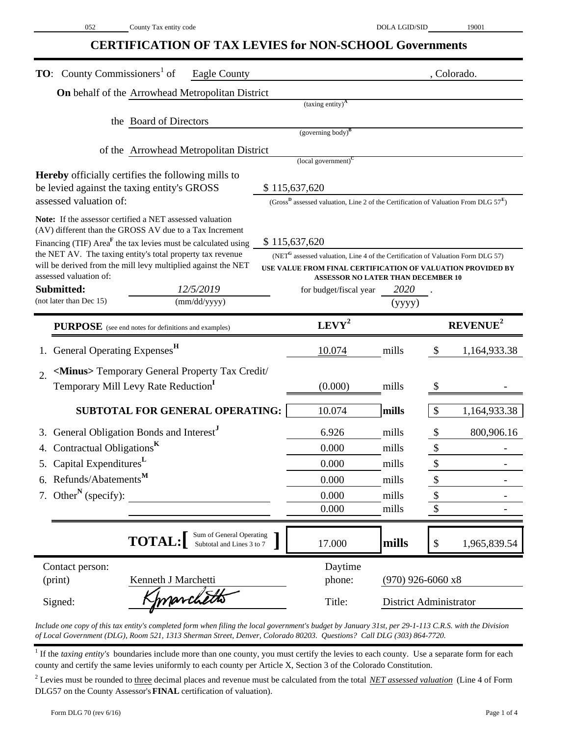# **CERTIFICATION OF TAX LEVIES for NON-SCHOOL Governments**

| <b>TO:</b> County Commissioners <sup>1</sup> of<br>Eagle County                                                             |                                                                                                    |                     | , Colorado.                                                 |
|-----------------------------------------------------------------------------------------------------------------------------|----------------------------------------------------------------------------------------------------|---------------------|-------------------------------------------------------------|
| <b>On</b> behalf of the Arrowhead Metropolitan District                                                                     |                                                                                                    |                     |                                                             |
|                                                                                                                             | (taxing entity) <sup>A</sup>                                                                       |                     |                                                             |
| the Board of Directors                                                                                                      |                                                                                                    |                     |                                                             |
|                                                                                                                             | $(governing body)^B$                                                                               |                     |                                                             |
| of the Arrowhead Metropolitan District                                                                                      | $\left($ local government $\right)^{C}$                                                            |                     |                                                             |
| <b>Hereby</b> officially certifies the following mills to                                                                   |                                                                                                    |                     |                                                             |
| be levied against the taxing entity's GROSS                                                                                 | \$115,637,620                                                                                      |                     |                                                             |
| assessed valuation of:                                                                                                      | (Gross <sup>B</sup> assessed valuation, Line 2 of the Certification of Valuation From DLG $57^E$ ) |                     |                                                             |
| Note: If the assessor certified a NET assessed valuation<br>(AV) different than the GROSS AV due to a Tax Increment         |                                                                                                    |                     |                                                             |
| Financing (TIF) $AreaF$ the tax levies must be calculated using                                                             | \$115,637,620                                                                                      |                     |                                                             |
| the NET AV. The taxing entity's total property tax revenue<br>will be derived from the mill levy multiplied against the NET | (NET <sup>G</sup> assessed valuation, Line 4 of the Certification of Valuation Form DLG 57)        |                     |                                                             |
| assessed valuation of:                                                                                                      | <b>ASSESSOR NO LATER THAN DECEMBER 10</b>                                                          |                     | USE VALUE FROM FINAL CERTIFICATION OF VALUATION PROVIDED BY |
| Submitted:<br>12/5/2019                                                                                                     | for budget/fiscal year                                                                             | <i>2020</i>         |                                                             |
| (not later than Dec 15)<br>(mm/dd/yyyy)                                                                                     |                                                                                                    | (yyyy)              |                                                             |
| <b>PURPOSE</b> (see end notes for definitions and examples)                                                                 | $LEVY^2$                                                                                           |                     | <b>REVENUE<sup>2</sup></b>                                  |
| General Operating Expenses <sup>H</sup>                                                                                     | 10.074                                                                                             | mills               | 1,164,933.38<br>$\mathcal{S}$                               |
| <minus> Temporary General Property Tax Credit/<br/><math>\overline{2}</math>.</minus>                                       |                                                                                                    |                     |                                                             |
| Temporary Mill Levy Rate Reduction <sup>1</sup>                                                                             | (0.000)                                                                                            | mills               | \$                                                          |
| <b>SUBTOTAL FOR GENERAL OPERATING:</b>                                                                                      | 10.074                                                                                             | mills               | $\boldsymbol{\mathsf{S}}$<br>1,164,933.38                   |
| General Obligation Bonds and Interest <sup>J</sup><br>3.                                                                    | 6.926                                                                                              | mills               | 800,906.16<br>\$                                            |
| Contractual Obligations <sup>K</sup><br>4.                                                                                  | 0.000                                                                                              | mills               |                                                             |
| 5. Capital Expenditures <sup>L</sup>                                                                                        | 0.000                                                                                              | mills               | \$                                                          |
| 6. Refunds/Abatements <sup>M</sup>                                                                                          | 0.000                                                                                              | mills               | \$                                                          |
| 7. Other <sup>N</sup> (specify):                                                                                            | 0.000                                                                                              | mills               | \$                                                          |
|                                                                                                                             | 0.000                                                                                              | mills               | \$                                                          |
| Sum of General Operating<br>Subtotal and Lines 3 to 7<br><b>TOTAL:</b>                                                      | 17.000                                                                                             | mills               | $\$$<br>1,965,839.54                                        |
| Contact person:                                                                                                             | Daytime                                                                                            |                     |                                                             |
| (print)<br>Kenneth J Marchetti                                                                                              | phone:                                                                                             | $(970)$ 926-6060 x8 |                                                             |
| marchetts<br>Signed:                                                                                                        | Title:                                                                                             |                     | District Administrator                                      |

*Include one copy of this tax entity's completed form when filing the local government's budget by January 31st, per 29-1-113 C.R.S. with the Division of Local Government (DLG), Room 521, 1313 Sherman Street, Denver, Colorado 80203. Questions? Call DLG (303) 864-7720.*

<sup>1</sup> If the *taxing entity's* boundaries include more than one county, you must certify the levies to each county. Use a separate form for each county and certify the same levies uniformly to each county per Article X, Section 3 of the Colorado Constitution.

<sup>2</sup> Levies must be rounded to three decimal places and revenue must be calculated from the total *NET assessed valuation* (Line 4 of Form DLG57 on the County Assessor's **FINAL** certification of valuation).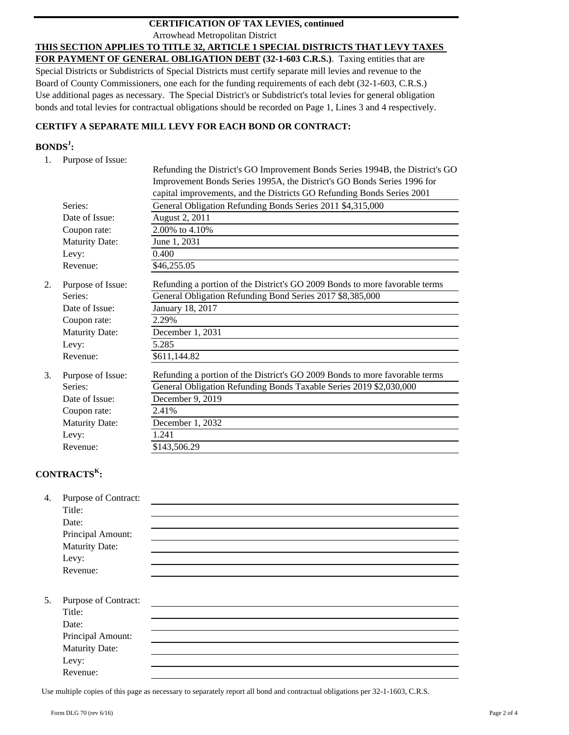### Arrowhead Metropolitan District **CERTIFICATION OF TAX LEVIES, continued**

**THIS SECTION APPLIES TO TITLE 32, ARTICLE 1 SPECIAL DISTRICTS THAT LEVY TAXES** 

**FOR PAYMENT OF GENERAL OBLIGATION DEBT (32-1-603 C.R.S.)**. Taxing entities that are Special Districts or Subdistricts of Special Districts must certify separate mill levies and revenue to the Board of County Commissioners, one each for the funding requirements of each debt (32-1-603, C.R.S.) Use additional pages as necessary. The Special District's or Subdistrict's total levies for general obligation bonds and total levies for contractual obligations should be recorded on Page 1, Lines 3 and 4 respectively.

## **CERTIFY A SEPARATE MILL LEVY FOR EACH BOND OR CONTRACT:**

## **BONDS<sup>J</sup> :**

1. Purpose of Issue:

|    |                       | Refunding the District's GO Improvement Bonds Series 1994B, the District's GO |
|----|-----------------------|-------------------------------------------------------------------------------|
|    |                       | Improvement Bonds Series 1995A, the District's GO Bonds Series 1996 for       |
|    |                       | capital improvements, and the Districts GO Refunding Bonds Series 2001        |
|    | Series:               | General Obligation Refunding Bonds Series 2011 \$4,315,000                    |
|    | Date of Issue:        | August 2, 2011                                                                |
|    | Coupon rate:          | 2.00% to 4.10%                                                                |
|    | Maturity Date:        | June 1, 2031                                                                  |
|    | Levy:                 | 0.400                                                                         |
|    | Revenue:              | \$46,255.05                                                                   |
| 2. | Purpose of Issue:     | Refunding a portion of the District's GO 2009 Bonds to more favorable terms   |
|    | Series:               | General Obligation Refunding Bond Series 2017 \$8,385,000                     |
|    | Date of Issue:        | January 18, 2017                                                              |
|    | Coupon rate:          | 2.29%                                                                         |
|    | <b>Maturity Date:</b> | December 1, 2031                                                              |
|    | Levy:                 | 5.285                                                                         |
|    | Revenue:              | \$611,144.82                                                                  |
| 3. | Purpose of Issue:     | Refunding a portion of the District's GO 2009 Bonds to more favorable terms   |
|    | Series:               | General Obligation Refunding Bonds Taxable Series 2019 \$2,030,000            |
|    | Date of Issue:        | December 9, 2019                                                              |
|    | Coupon rate:          | 2.41%                                                                         |
|    | <b>Maturity Date:</b> | December 1, 2032                                                              |
|    | Levy:                 | 1.241                                                                         |
|    | Revenue:              | \$143,506.29                                                                  |

## **CONTRACTS<sup>K</sup> :**

| 4. | Purpose of Contract:  |  |  |
|----|-----------------------|--|--|
|    | Title:                |  |  |
|    | Date:                 |  |  |
|    | Principal Amount:     |  |  |
|    | <b>Maturity Date:</b> |  |  |
|    | Levy:                 |  |  |
|    | Revenue:              |  |  |
|    |                       |  |  |
| 5. | Purpose of Contract:  |  |  |
|    | Title:                |  |  |
|    | Date:                 |  |  |
|    | Principal Amount:     |  |  |
|    | <b>Maturity Date:</b> |  |  |
|    | Levy:                 |  |  |
|    | Revenue:              |  |  |
|    |                       |  |  |

Use multiple copies of this page as necessary to separately report all bond and contractual obligations per 32-1-1603, C.R.S.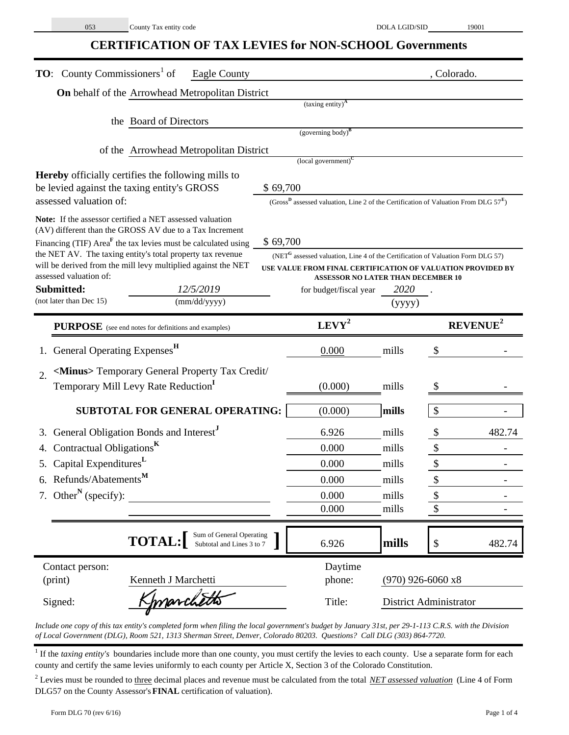# **CERTIFICATION OF TAX LEVIES for NON-SCHOOL Governments**

| <b>TO:</b> County Commissioners <sup>1</sup> of<br><b>Eagle County</b>                                                               |          |                                                                                                    |                     |                             | , Colorado. |
|--------------------------------------------------------------------------------------------------------------------------------------|----------|----------------------------------------------------------------------------------------------------|---------------------|-----------------------------|-------------|
| On behalf of the Arrowhead Metropolitan District                                                                                     |          |                                                                                                    |                     |                             |             |
|                                                                                                                                      |          | (taxing entity) <sup>A</sup>                                                                       |                     |                             |             |
| the Board of Directors                                                                                                               |          | $(governing body)^B$                                                                               |                     |                             |             |
|                                                                                                                                      |          |                                                                                                    |                     |                             |             |
| of the Arrowhead Metropolitan District                                                                                               |          | $\left($ local government $\right)^{C}$                                                            |                     |                             |             |
| <b>Hereby</b> officially certifies the following mills to                                                                            |          |                                                                                                    |                     |                             |             |
| be levied against the taxing entity's GROSS                                                                                          | \$69,700 |                                                                                                    |                     |                             |             |
| assessed valuation of:                                                                                                               |          | (Gross <sup>D</sup> assessed valuation, Line 2 of the Certification of Valuation From DLG $57^E$ ) |                     |                             |             |
| Note: If the assessor certified a NET assessed valuation                                                                             |          |                                                                                                    |                     |                             |             |
| (AV) different than the GROSS AV due to a Tax Increment<br>Financing (TIF) Area <sup>F</sup> the tax levies must be calculated using | \$69,700 |                                                                                                    |                     |                             |             |
| the NET AV. The taxing entity's total property tax revenue                                                                           |          | (NET <sup>G</sup> assessed valuation, Line 4 of the Certification of Valuation Form DLG 57)        |                     |                             |             |
| will be derived from the mill levy multiplied against the NET<br>assessed valuation of:                                              |          | USE VALUE FROM FINAL CERTIFICATION OF VALUATION PROVIDED BY                                        |                     |                             |             |
| <b>ASSESSOR NO LATER THAN DECEMBER 10</b><br>Submitted:<br>12/5/2019<br>2020<br>for budget/fiscal year                               |          |                                                                                                    |                     |                             |             |
| (not later than Dec 15)<br>(mm/dd/yyyy)                                                                                              |          |                                                                                                    | (yyyy)              |                             |             |
| <b>PURPOSE</b> (see end notes for definitions and examples)                                                                          |          | $LEVY^2$                                                                                           |                     | <b>REVENUE</b> <sup>2</sup> |             |
| General Operating Expenses <sup>H</sup>                                                                                              |          | 0.000                                                                                              | mills               | $\boldsymbol{\mathsf{S}}$   |             |
| <minus> Temporary General Property Tax Credit/<br/>2.</minus>                                                                        |          |                                                                                                    |                     |                             |             |
| Temporary Mill Levy Rate Reduction <sup>1</sup>                                                                                      |          | (0.000)                                                                                            | mills               |                             |             |
|                                                                                                                                      |          |                                                                                                    |                     |                             |             |
| SUBTOTAL FOR GENERAL OPERATING:                                                                                                      |          | (0.000)                                                                                            | mills               | $\boldsymbol{\mathsf{S}}$   |             |
| General Obligation Bonds and Interest <sup>J</sup>                                                                                   |          | 6.926                                                                                              | mills               |                             | 482.74      |
| Contractual Obligations <sup>K</sup>                                                                                                 |          | 0.000                                                                                              | mills               | $\boldsymbol{\$}$           |             |
| Capital Expenditures <sup>L</sup><br>5.                                                                                              |          | 0.000                                                                                              | mills               | \$                          |             |
| 6. Refunds/Abatements <sup>M</sup>                                                                                                   |          | 0.000                                                                                              | mills               | \$                          |             |
| 7. Other <sup>N</sup> (specify):                                                                                                     |          | 0.000                                                                                              | mills               | \$                          |             |
|                                                                                                                                      |          | 0.000                                                                                              | mills               | \$                          |             |
| Sum of General Operating<br><b>TOTAL:</b><br>Subtotal and Lines 3 to 7                                                               |          | 6.926                                                                                              | mills               | $\boldsymbol{\$}$           | 482.74      |
| Contact person:                                                                                                                      |          | Daytime                                                                                            |                     |                             |             |
| (print)<br>Kenneth J Marchetti                                                                                                       |          | phone:                                                                                             | $(970)$ 926-6060 x8 |                             |             |
| marchetts<br>Signed:                                                                                                                 |          | Title:                                                                                             |                     | District Administrator      |             |

*Include one copy of this tax entity's completed form when filing the local government's budget by January 31st, per 29-1-113 C.R.S. with the Division of Local Government (DLG), Room 521, 1313 Sherman Street, Denver, Colorado 80203. Questions? Call DLG (303) 864-7720.*

<sup>1</sup> If the *taxing entity's* boundaries include more than one county, you must certify the levies to each county. Use a separate form for each county and certify the same levies uniformly to each county per Article X, Section 3 of the Colorado Constitution.

<sup>2</sup> Levies must be rounded to three decimal places and revenue must be calculated from the total *NET assessed valuation* (Line 4 of Form DLG57 on the County Assessor's **FINAL** certification of valuation).